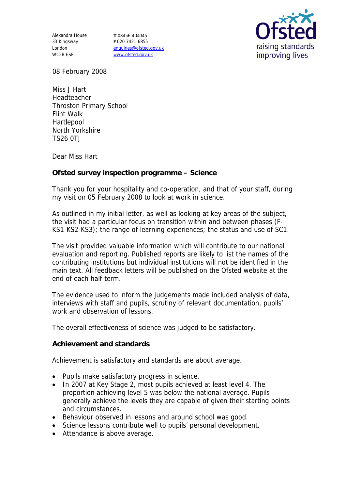Alexandra House 33 Kingsway London WC2B 6SE

**T** 08456 404045 **F** 020 7421 6855 enquiries@ofsted.gov.uk www.ofsted.gov.uk



08 February 2008

Miss J Hart Headteacher Throston Primary School Flint Walk Hartlepool North Yorkshire TS26 0TJ

Dear Miss Hart

**Ofsted survey inspection programme – Science**

Thank you for your hospitality and co-operation, and that of your staff, during my visit on 05 February 2008 to look at work in science.

As outlined in my initial letter, as well as looking at key areas of the subject, the visit had a particular focus on transition within and between phases (F-KS1-KS2-KS3); the range of learning experiences; the status and use of SC1.

The visit provided valuable information which will contribute to our national evaluation and reporting. Published reports are likely to list the names of the contributing institutions but individual institutions will not be identified in the main text. All feedback letters will be published on the Ofsted website at the end of each half-term.

The evidence used to inform the judgements made included analysis of data, interviews with staff and pupils, scrutiny of relevant documentation, pupils' work and observation of lessons.

The overall effectiveness of science was judged to be satisfactory.

**Achievement and standards** 

Achievement is satisfactory and standards are about average.

- Pupils make satisfactory progress in science.
- In 2007 at Key Stage 2, most pupils achieved at least level 4. The proportion achieving level 5 was below the national average. Pupils generally achieve the levels they are capable of given their starting points and circumstances.
- Behaviour observed in lessons and around school was good.
- Science lessons contribute well to pupils' personal development.
- Attendance is above average.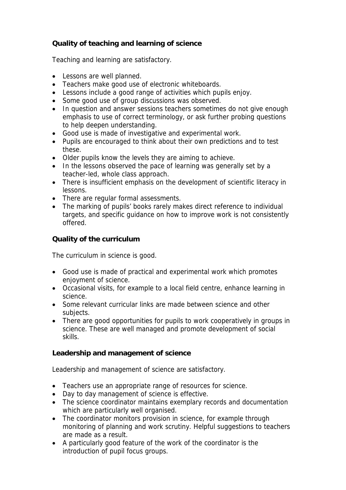## **Quality of teaching and learning of science**

Teaching and learning are satisfactory.

- Lessons are well planned.
- Teachers make good use of electronic whiteboards.
- Lessons include a good range of activities which pupils enjoy.
- Some good use of group discussions was observed.
- In question and answer sessions teachers sometimes do not give enough emphasis to use of correct terminology, or ask further probing questions to help deepen understanding.
- Good use is made of investigative and experimental work.
- Pupils are encouraged to think about their own predictions and to test these.
- Older pupils know the levels they are aiming to achieve.
- In the lessons observed the pace of learning was generally set by a teacher-led, whole class approach.
- There is insufficient emphasis on the development of scientific literacy in lessons.
- There are regular formal assessments.
- The marking of pupils' books rarely makes direct reference to individual targets, and specific guidance on how to improve work is not consistently offered.

## **Quality of the curriculum**

The curriculum in science is good.

- Good use is made of practical and experimental work which promotes enjoyment of science.
- Occasional visits, for example to a local field centre, enhance learning in science.
- Some relevant curricular links are made between science and other subjects.
- There are good opportunities for pupils to work cooperatively in groups in science. These are well managed and promote development of social skills.

**Leadership and management of science**

Leadership and management of science are satisfactory.

- Teachers use an appropriate range of resources for science.
- Day to day management of science is effective.
- The science coordinator maintains exemplary records and documentation which are particularly well organised.
- The coordinator monitors provision in science, for example through monitoring of planning and work scrutiny. Helpful suggestions to teachers are made as a result.
- A particularly good feature of the work of the coordinator is the introduction of pupil focus groups.